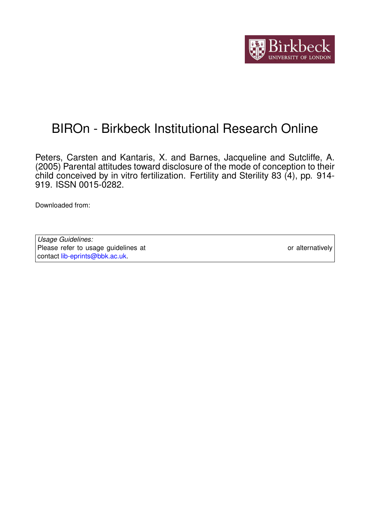

# BIROn - Birkbeck Institutional Research Online

Peters, Carsten and Kantaris, X. and Barnes, Jacqueline and Sutcliffe, A. (2005) Parental attitudes toward disclosure of the mode of conception to their child conceived by in vitro fertilization. Fertility and Sterility 83 (4), pp. 914- 919. ISSN 0015-0282.

Downloaded from: <https://eprints.bbk.ac.uk/id/eprint/331/>

*Usage Guidelines:* Please refer to usage guidelines at <https://eprints.bbk.ac.uk/policies.html> or alternatively contact [lib-eprints@bbk.ac.uk.](mailto:lib-eprints@bbk.ac.uk)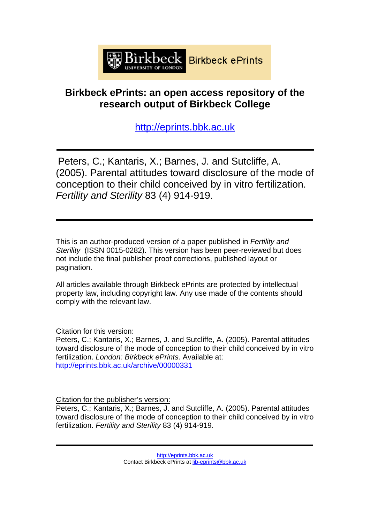

# **Birkbeck ePrints: an open access repository of the research output of Birkbeck College**

[http://eprints.bbk.ac.uk](http://eprints.bbk.ac.uk/)

Peters, C.; Kantaris, X.; Barnes, J. and Sutcliffe, A. (2005). Parental attitudes toward disclosure of the mode of conception to their child conceived by in vitro fertilization. *Fertility and Sterility* 83 (4) 914-919.

This is an author-produced version of a paper published in *Fertility and Sterility* (ISSN 0015-0282). This version has been peer-reviewed but does not include the final publisher proof corrections, published layout or pagination.

All articles available through Birkbeck ePrints are protected by intellectual property law, including copyright law. Any use made of the contents should comply with the relevant law.

Citation for this version:

Peters, C.; Kantaris, X.; Barnes, J. and Sutcliffe, A. (2005). Parental attitudes toward disclosure of the mode of conception to their child conceived by in vitro fertilization. *London: Birkbeck ePrints.* Available at: <http://eprints.bbk.ac.uk/archive/00000331>

Citation for the publisher's version:

Peters, C.; Kantaris, X.; Barnes, J. and Sutcliffe, A. (2005). Parental attitudes toward disclosure of the mode of conception to their child conceived by in vitro fertilization. *Fertility and Sterility* 83 (4) 914-919.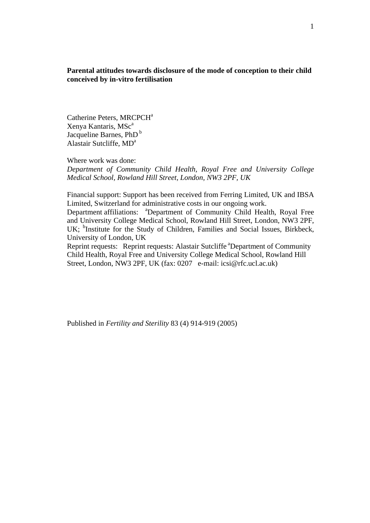**Parental attitudes towards disclosure of the mode of conception to their child conceived by in-vitro fertilisation** 

Catherine Peters, MRCPCH<sup>a</sup> Xenya Kantaris, MSc<sup>a</sup> Jacqueline Barnes,  $PhD<sup>b</sup>$ Alastair Sutcliffe, MD<sup>a</sup>

Where work was done:

*Department of Community Child Health, Royal Free and University College Medical School, Rowland Hill Street, London, NW3 2PF, UK* 

Financial support: Support has been received from Ferring Limited, UK and IBSA Limited, Switzerland for administrative costs in our ongoing work.

Department affiliations: <sup>a</sup>Department of Community Child Health, Royal Free and University College Medical School, Rowland Hill Street, London, NW3 2PF, UK; <sup>b</sup>Institute for the Study of Children, Families and Social Issues, Birkbeck, University of London, UK

Reprint requests: Reprint requests: Alastair Sutcliffe <sup>a</sup>Department of Community Child Health, Royal Free and University College Medical School, Rowland Hill Street, London, NW3 2PF, UK (fax: 0207 e-mail: icsi@rfc.ucl.ac.uk)

Published in *Fertility and Sterility* 83 (4) 914-919 (2005)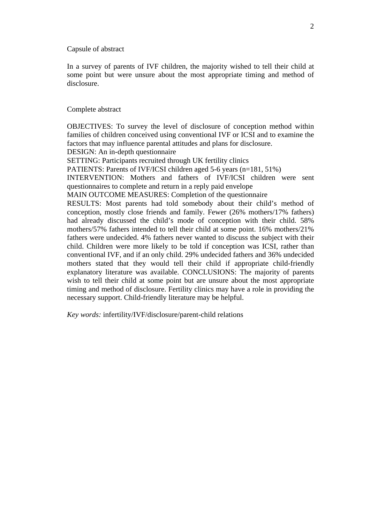Capsule of abstract

In a survey of parents of IVF children, the majority wished to tell their child at some point but were unsure about the most appropriate timing and method of disclosure.

#### Complete abstract

OBJECTIVES: To survey the level of disclosure of conception method within families of children conceived using conventional IVF or ICSI and to examine the factors that may influence parental attitudes and plans for disclosure. DESIGN: An in-depth questionnaire SETTING: Participants recruited through UK fertility clinics PATIENTS: Parents of IVF/ICSI children aged 5-6 years (n=181, 51%) INTERVENTION: Mothers and fathers of IVF/ICSI children were sent questionnaires to complete and return in a reply paid envelope MAIN OUTCOME MEASURES: Completion of the questionnaire RESULTS: Most parents had told somebody about their child's method of conception, mostly close friends and family. Fewer (26% mothers/17% fathers) had already discussed the child's mode of conception with their child. 58% mothers/57% fathers intended to tell their child at some point. 16% mothers/21% fathers were undecided. 4% fathers never wanted to discuss the subject with their child. Children were more likely to be told if conception was ICSI, rather than conventional IVF, and if an only child. 29% undecided fathers and 36% undecided mothers stated that they would tell their child if appropriate child-friendly explanatory literature was available. CONCLUSIONS: The majority of parents wish to tell their child at some point but are unsure about the most appropriate timing and method of disclosure. Fertility clinics may have a role in providing the necessary support. Child-friendly literature may be helpful.

*Key words:* infertility/IVF/disclosure/parent-child relations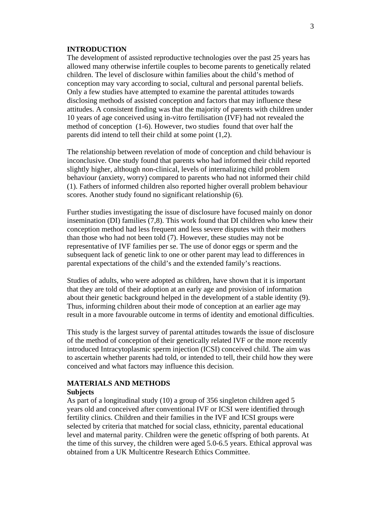#### **INTRODUCTION**

The development of assisted reproductive technologies over the past 25 years has allowed many otherwise infertile couples to become parents to genetically related children. The level of disclosure within families about the child's method of conception may vary according to social, cultural and personal parental beliefs. Only a few studies have attempted to examine the parental attitudes towards disclosing methods of assisted conception and factors that may influence these attitudes. A consistent finding was that the majority of parents with children under 10 years of age conceived using in-vitro fertilisation (IVF) had not revealed the method of conception (1-6). However, two studies found that over half the parents did intend to tell their child at some point (1,2).

The relationship between revelation of mode of conception and child behaviour is inconclusive. One study found that parents who had informed their child reported slightly higher, although non-clinical, levels of internalizing child problem behaviour (anxiety, worry) compared to parents who had not informed their child (1). Fathers of informed children also reported higher overall problem behaviour scores. Another study found no significant relationship (6)*.*

Further studies investigating the issue of disclosure have focused mainly on donor insemination (DI) families (7,8). This work found that DI children who knew their conception method had less frequent and less severe disputes with their mothers than those who had not been told (7). However, these studies may not be representative of IVF families per se. The use of donor eggs or sperm and the subsequent lack of genetic link to one or other parent may lead to differences in parental expectations of the child's and the extended family's reactions.

Studies of adults, who were adopted as children, have shown that it is important that they are told of their adoption at an early age and provision of information about their genetic background helped in the development of a stable identity (9). Thus, informing children about their mode of conception at an earlier age may result in a more favourable outcome in terms of identity and emotional difficulties.

This study is the largest survey of parental attitudes towards the issue of disclosure of the method of conception of their genetically related IVF or the more recently introduced Intracytoplasmic sperm injection (ICSI) conceived child. The aim was to ascertain whether parents had told, or intended to tell, their child how they were conceived and what factors may influence this decision.

# **MATERIALS AND METHODS**

# **Subjects**

As part of a longitudinal study (10) a group of 356 singleton children aged 5 years old and conceived after conventional IVF or ICSI were identified through fertility clinics. Children and their families in the IVF and ICSI groups were selected by criteria that matched for social class, ethnicity, parental educational level and maternal parity. Children were the genetic offspring of both parents. At the time of this survey, the children were aged 5.0-6.5 years. Ethical approval was obtained from a UK Multicentre Research Ethics Committee.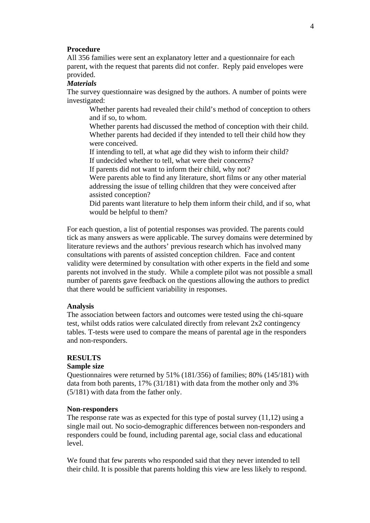#### **Procedure**

All 356 families were sent an explanatory letter and a questionnaire for each parent, with the request that parents did not confer. Reply paid envelopes were provided.

#### *Materials*

The survey questionnaire was designed by the authors. A number of points were investigated:

Whether parents had revealed their child's method of conception to others and if so, to whom.

Whether parents had discussed the method of conception with their child. Whether parents had decided if they intended to tell their child how they were conceived.

If intending to tell, at what age did they wish to inform their child? If undecided whether to tell, what were their concerns?

If parents did not want to inform their child, why not?

Were parents able to find any literature, short films or any other material addressing the issue of telling children that they were conceived after assisted conception?

Did parents want literature to help them inform their child, and if so, what would be helpful to them?

For each question, a list of potential responses was provided. The parents could tick as many answers as were applicable. The survey domains were determined by literature reviews and the authors' previous research which has involved many consultations with parents of assisted conception children. Face and content validity were determined by consultation with other experts in the field and some parents not involved in the study. While a complete pilot was not possible a small number of parents gave feedback on the questions allowing the authors to predict that there would be sufficient variability in responses.

# **Analysis**

The association between factors and outcomes were tested using the chi-square test, whilst odds ratios were calculated directly from relevant 2x2 contingency tables. T-tests were used to compare the means of parental age in the responders and non-responders.

#### **RESULTS**

# **Sample size**

Questionnaires were returned by 51% (181/356) of families; 80% (145/181) with data from both parents, 17% (31/181) with data from the mother only and 3% (5/181) with data from the father only.

#### **Non-responders**

The response rate was as expected for this type of postal survey (11,12) using a single mail out. No socio-demographic differences between non-responders and responders could be found, including parental age, social class and educational level.

We found that few parents who responded said that they never intended to tell their child. It is possible that parents holding this view are less likely to respond.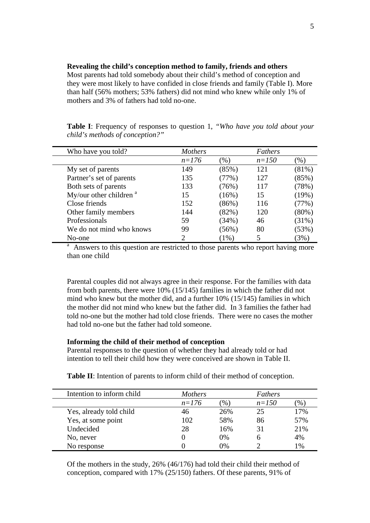#### **Revealing the child's conception method to family, friends and others**

Most parents had told somebody about their child's method of conception and they were most likely to have confided in close friends and family (Table I). More than half (56% mothers; 53% fathers) did not mind who knew while only 1% of mothers and 3% of fathers had told no-one.

**Table I**: Frequency of responses to question 1, *"Who have you told about your child's methods of conception?"*

| Who have you told?                                                                   | <b>Mothers</b> |         | Fathers   |          |  |
|--------------------------------------------------------------------------------------|----------------|---------|-----------|----------|--|
|                                                                                      | $n=176$        | (%)     | $n = 150$ | $(\%)$   |  |
| My set of parents                                                                    | 149            | (85%)   | 121       | (81%)    |  |
| Partner's set of parents                                                             | 135            | (77%)   | 127       | (85%)    |  |
| Both sets of parents                                                                 | 133            | (76%)   | 117       | (78%)    |  |
| My/our other children $a$                                                            | 15             | (16%)   | 15        | (19%)    |  |
| Close friends                                                                        | 152            | (86%)   | 116       | (77%)    |  |
| Other family members                                                                 | 144            | (82%)   | 120       | $(80\%)$ |  |
| Professionals                                                                        | 59             | (34%)   | 46        | (31%)    |  |
| We do not mind who knows                                                             | 99             | (56%)   | 80        | (53%)    |  |
| No-one                                                                               | $\mathcal{D}$  | $(1\%)$ | 5         | (3%)     |  |
| a<br>Answers to this question are restricted to those parents who report having more |                |         |           |          |  |

than one child

Parental couples did not always agree in their response. For the families with data from both parents, there were 10% (15/145) families in which the father did not mind who knew but the mother did, and a further 10% (15/145) families in which the mother did not mind who knew but the father did. In 3 families the father had told no-one but the mother had told close friends. There were no cases the mother had told no-one but the father had told someone.

# **Informing the child of their method of conception**

Parental responses to the question of whether they had already told or had intention to tell their child how they were conceived are shown in Table II.

**Table II**: Intention of parents to inform child of their method of conception.

| Intention to inform child | <b>Mothers</b> |               | Fathers   |      |
|---------------------------|----------------|---------------|-----------|------|
|                           | $n=176$        | $\frac{1}{2}$ | $n = 150$ | $\%$ |
| Yes, already told child   | 46             | 26%           | 25        | 17%  |
| Yes, at some point        | 102            | 58%           | 86        | 57%  |
| Undecided                 | 28             | 16%           | 31        | 21%  |
| No, never                 |                | 0%            |           | 4%   |
| No response               |                | )%            |           | 1%   |

Of the mothers in the study, 26% (46/176) had told their child their method of conception, compared with 17% (25/150) fathers. Of these parents, 91% of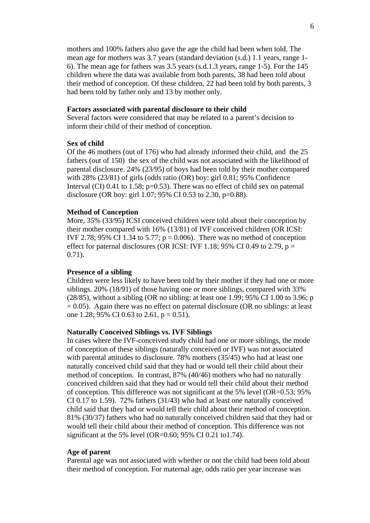mothers and 100% fathers also gave the age the child had been when told. The mean age for mothers was 3.7 years (standard deviation (s.d.) 1.1 years, range 1- 6). The mean age for fathers was 3.5 years (s.d.1.3 years, range 1-5). For the 145 children where the data was available from both parents, 38 had been told about their method of conception. Of these children, 22 had been told by both parents, 3 had been told by father only and 13 by mother only.

#### **Factors associated with parental disclosure to their child**

Several factors were considered that may be related to a parent's decision to inform their child of their method of conception.

# **Sex of child**

Of the 46 mothers (out of 176) who had already informed their child, and the 25 fathers (out of 150) the sex of the child was not associated with the likelihood of parental disclosure. 24% (23/95) of boys had been told by their mother compared with 28% (23/81) of girls (odds ratio (OR) boy: girl 0.81; 95% Confidence Interval (CI) 0.41 to 1.58;  $p=0.53$ ). There was no effect of child sex on paternal disclosure (OR boy: girl 1.07; 95% CI 0.53 to 2.30, p=0.88).

#### **Method of Conception**

More, 35% (33/95) ICSI conceived children were told about their conception by their mother compared with 16% (13/81) of IVF conceived children (OR ICSI: IVF 2.78; 95% CI 1.34 to 5.77;  $p = 0.006$ ). There was no method of conception effect for paternal disclosures (OR ICSI: IVF 1.18; 95% CI 0.49 to 2.79,  $p =$ 0.71).

#### **Presence of a sibling**

Children were less likely to have been told by their mother if they had one or more siblings. 20% (18/91) of those having one or more siblings, compared with 33% (28/85), without a sibling (OR no sibling: at least one 1.99; 95% CI 1.00 to 3.96; p  $= 0.05$ ). Again there was no effect on paternal disclosure (OR no siblings: at least one 1.28; 95% CI 0.63 to 2.61,  $p = 0.51$ ).

# **Naturally Conceived Siblings vs. IVF Siblings**

In cases where the IVF-conceived study child had one or more siblings, the mode of conception of these siblings (naturally conceived or IVF) was not associated with parental attitudes to disclosure. 78% mothers (35/45) who had at least one naturally conceived child said that they had or would tell their child about their method of conception. In contrast, 87% (40/46) mothers who had no naturally conceived children said that they had or would tell their child about their method of conception. This difference was not significant at the 5% level  $(OR=0.53; 95%$ CI 0.17 to 1.59). 72% fathers (31/43) who had at least one naturally conceived child said that they had or would tell their child about their method of conception. 81% (30/37) fathers who had no naturally conceived children said that they had or would tell their child about their method of conception. This difference was not significant at the 5% level (OR=0.60; 95% CI 0.21 to1.74).

# **Age of parent**

Parental age was not associated with whether or not the child had been told about their method of conception. For maternal age, odds ratio per year increase was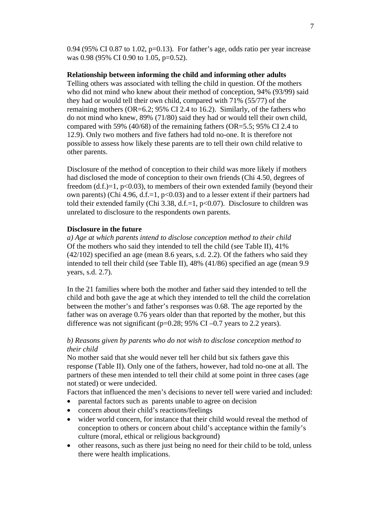0.94 (95% CI 0.87 to 1.02,  $p=0.13$ ). For father's age, odds ratio per year increase was 0.98 (95% CI 0.90 to 1.05, p=0.52).

# **Relationship between informing the child and informing other adults**

Telling others was associated with telling the child in question. Of the mothers who did not mind who knew about their method of conception, 94% (93/99) said they had or would tell their own child, compared with 71% (55/77) of the remaining mothers (OR=6.2; 95% CI 2.4 to 16.2). Similarly, of the fathers who do not mind who knew, 89% (71/80) said they had or would tell their own child, compared with 59% (40/68) of the remaining fathers (OR=5.5; 95% CI 2.4 to 12.9). Only two mothers and five fathers had told no-one. It is therefore not possible to assess how likely these parents are to tell their own child relative to other parents.

Disclosure of the method of conception to their child was more likely if mothers had disclosed the mode of conception to their own friends (Chi 4.50, degrees of freedom  $(d.f.)=1, p<0.03$ , to members of their own extended family (beyond their own parents) (Chi 4.96, d.f.=1,  $p<0.03$ ) and to a lesser extent if their partners had told their extended family (Chi 3.38, d.f.=1,  $p<0.07$ ). Disclosure to children was unrelated to disclosure to the respondents own parents.

#### **Disclosure in the future**

*a) Age at which parents intend to disclose conception method to their child* Of the mothers who said they intended to tell the child (see Table II), 41% (42/102) specified an age (mean 8.6 years, s.d. 2.2). Of the fathers who said they intended to tell their child (see Table II), 48% (41/86) specified an age (mean 9.9 years, s.d. 2.7).

In the 21 families where both the mother and father said they intended to tell the child and both gave the age at which they intended to tell the child the correlation between the mother's and father's responses was 0.68. The age reported by the father was on average 0.76 years older than that reported by the mother, but this difference was not significant ( $p=0.28$ ; 95% CI $-0.7$  years to 2.2 years).

# *b) Reasons given by parents who do not wish to disclose conception method to their child*

No mother said that she would never tell her child but six fathers gave this response (Table II). Only one of the fathers, however, had told no-one at all. The partners of these men intended to tell their child at some point in three cases (age not stated) or were undecided.

Factors that influenced the men's decisions to never tell were varied and included:

- parental factors such as parents unable to agree on decision
- concern about their child's reactions/feelings
- wider world concern, for instance that their child would reveal the method of conception to others or concern about child's acceptance within the family's culture (moral, ethical or religious background)
- other reasons, such as there just being no need for their child to be told, unless there were health implications.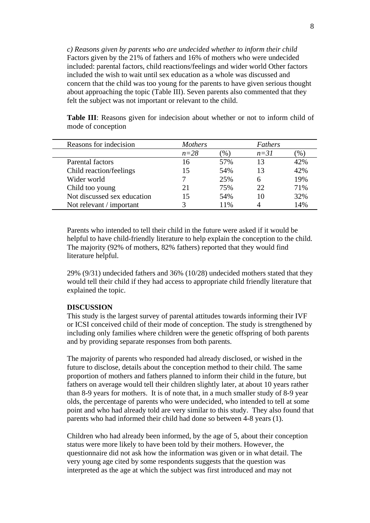*c) Reasons given by parents who are undecided whether to inform their child*  Factors given by the 21% of fathers and 16% of mothers who were undecided included: parental factors, child reactions/feelings and wider world Other factors included the wish to wait until sex education as a whole was discussed and concern that the child was too young for the parents to have given serious thought about approaching the topic (Table III). Seven parents also commented that they felt the subject was not important or relevant to the child.

| Reasons for indecision      | <b>Mothers</b> |                       | Fathers |      |
|-----------------------------|----------------|-----------------------|---------|------|
|                             | $n=28$         | $\gamma$ <sub>0</sub> | $n=31$  | $\%$ |
| Parental factors            | 16             | 57%                   | 13      | 42%  |
| Child reaction/feelings     | 15             | 54%                   | 13      | 42%  |
| Wider world                 |                | 25%                   |         | 19%  |
| Child too young             | 21             | 75%                   | 22      | 71%  |
| Not discussed sex education | 15             | 54%                   |         | 32%  |
| Not relevant / important    |                | 11%                   |         | 14%  |

**Table III**: Reasons given for indecision about whether or not to inform child of mode of conception

Parents who intended to tell their child in the future were asked if it would be helpful to have child-friendly literature to help explain the conception to the child. The majority (92% of mothers, 82% fathers) reported that they would find literature helpful.

29% (9/31) undecided fathers and 36% (10/28) undecided mothers stated that they would tell their child if they had access to appropriate child friendly literature that explained the topic.

# **DISCUSSION**

This study is the largest survey of parental attitudes towards informing their IVF or ICSI conceived child of their mode of conception. The study is strengthened by including only families where children were the genetic offspring of both parents and by providing separate responses from both parents.

The majority of parents who responded had already disclosed, or wished in the future to disclose, details about the conception method to their child. The same proportion of mothers and fathers planned to inform their child in the future, but fathers on average would tell their children slightly later, at about 10 years rather than 8-9 years for mothers. It is of note that, in a much smaller study of 8-9 year olds, the percentage of parents who were undecided, who intended to tell at some point and who had already told are very similar to this study. They also found that parents who had informed their child had done so between 4-8 years (1).

Children who had already been informed, by the age of 5, about their conception status were more likely to have been told by their mothers. However, the questionnaire did not ask how the information was given or in what detail. The very young age cited by some respondents suggests that the question was interpreted as the age at which the subject was first introduced and may not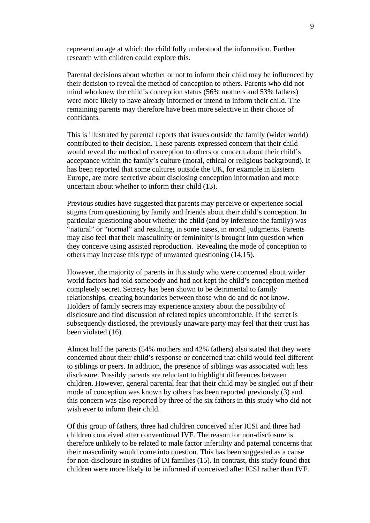represent an age at which the child fully understood the information. Further research with children could explore this.

Parental decisions about whether or not to inform their child may be influenced by their decision to reveal the method of conception to others. Parents who did not mind who knew the child's conception status (56% mothers and 53% fathers) were more likely to have already informed or intend to inform their child. The remaining parents may therefore have been more selective in their choice of confidants.

This is illustrated by parental reports that issues outside the family (wider world) contributed to their decision. These parents expressed concern that their child would reveal the method of conception to others or concern about their child's acceptance within the family's culture (moral, ethical or religious background). It has been reported that some cultures outside the UK, for example in Eastern Europe, are more secretive about disclosing conception information and more uncertain about whether to inform their child (13).

Previous studies have suggested that parents may perceive or experience social stigma from questioning by family and friends about their child's conception. In particular questioning about whether the child (and by inference the family) was "natural" or "normal" and resulting, in some cases, in moral judgments. Parents may also feel that their masculinity or femininity is brought into question when they conceive using assisted reproduction. Revealing the mode of conception to others may increase this type of unwanted questioning (14,15).

However, the majority of parents in this study who were concerned about wider world factors had told somebody and had not kept the child's conception method completely secret. Secrecy has been shown to be detrimental to family relationships, creating boundaries between those who do and do not know. Holders of family secrets may experience anxiety about the possibility of disclosure and find discussion of related topics uncomfortable. If the secret is subsequently disclosed, the previously unaware party may feel that their trust has been violated (16).

Almost half the parents (54% mothers and 42% fathers) also stated that they were concerned about their child's response or concerned that child would feel different to siblings or peers. In addition, the presence of siblings was associated with less disclosure. Possibly parents are reluctant to highlight differences between children. However, general parental fear that their child may be singled out if their mode of conception was known by others has been reported previously (3) and this concern was also reported by three of the six fathers in this study who did not wish ever to inform their child.

Of this group of fathers, three had children conceived after ICSI and three had children conceived after conventional IVF. The reason for non-disclosure is therefore unlikely to be related to male factor infertility and paternal concerns that their masculinity would come into question. This has been suggested as a cause for non-disclosure in studies of DI families (15). In contrast, this study found that children were more likely to be informed if conceived after ICSI rather than IVF.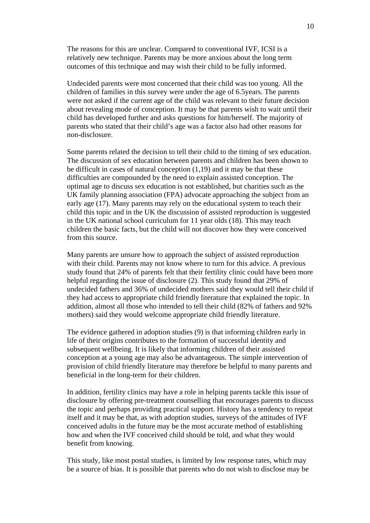The reasons for this are unclear. Compared to conventional IVF, ICSI is a relatively new technique. Parents may be more anxious about the long term outcomes of this technique and may wish their child to be fully informed.

Undecided parents were most concerned that their child was too young. All the children of families in this survey were under the age of 6.5years. The parents were not asked if the current age of the child was relevant to their future decision about revealing mode of conception. It may be that parents wish to wait until their child has developed further and asks questions for him/herself. The majority of parents who stated that their child's age was a factor also had other reasons for non-disclosure.

Some parents related the decision to tell their child to the timing of sex education. The discussion of sex education between parents and children has been shown to be difficult in cases of natural conception  $(1,19)$  and it may be that these difficulties are compounded by the need to explain assisted conception. The optimal age to discuss sex education is not established, but charities such as the UK family planning association (FPA) advocate approaching the subject from an early age (17). Many parents may rely on the educational system to teach their child this topic and in the UK the discussion of assisted reproduction is suggested in the UK national school curriculum for 11 year olds (18). This may teach children the basic facts, but the child will not discover how they were conceived from this source.

Many parents are unsure how to approach the subject of assisted reproduction with their child. Parents may not know where to turn for this advice. A previous study found that 24% of parents felt that their fertility clinic could have been more helpful regarding the issue of disclosure (2). This study found that 29% of undecided fathers and 36% of undecided mothers said they would tell their child if they had access to appropriate child friendly literature that explained the topic. In addition, almost all those who intended to tell their child (82% of fathers and 92% mothers) said they would welcome appropriate child friendly literature.

The evidence gathered in adoption studies (9) is that informing children early in life of their origins contributes to the formation of successful identity and subsequent wellbeing. It is likely that informing children of their assisted conception at a young age may also be advantageous. The simple intervention of provision of child friendly literature may therefore be helpful to many parents and beneficial in the long-term for their children.

In addition, fertility clinics may have a role in helping parents tackle this issue of disclosure by offering pre-treatment counselling that encourages parents to discuss the topic and perhaps providing practical support. History has a tendency to repeat itself and it may be that, as with adoption studies, surveys of the attitudes of IVF conceived adults in the future may be the most accurate method of establishing how and when the IVF conceived child should be told, and what they would benefit from knowing.

This study, like most postal studies, is limited by low response rates, which may be a source of bias. It is possible that parents who do not wish to disclose may be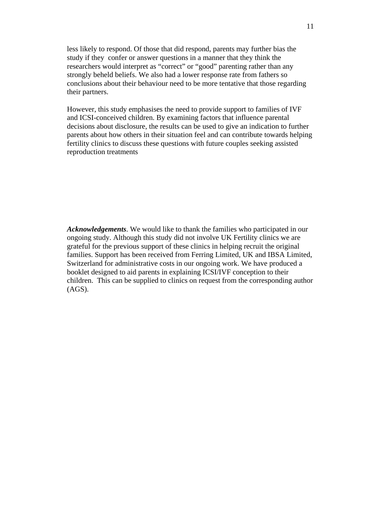less likely to respond. Of those that did respond, parents may further bias the study if they confer or answer questions in a manner that they think the researchers would interpret as "correct" or "good" parenting rather than any strongly beheld beliefs. We also had a lower response rate from fathers so conclusions about their behaviour need to be more tentative that those regarding their partners.

However, this study emphasises the need to provide support to families of IVF and ICSI-conceived children. By examining factors that influence parental decisions about disclosure, the results can be used to give an indication to further parents about how others in their situation feel and can contribute towards helping fertility clinics to discuss these questions with future couples seeking assisted reproduction treatments

*Acknowledgements*. We would like to thank the families who participated in our ongoing study. Although this study did not involve UK Fertility clinics we are grateful for the previous support of these clinics in helping recruit the original families. Support has been received from Ferring Limited, UK and IBSA Limited, Switzerland for administrative costs in our ongoing work. We have produced a booklet designed to aid parents in explaining ICSI/IVF conception to their children. This can be supplied to clinics on request from the corresponding author (AGS).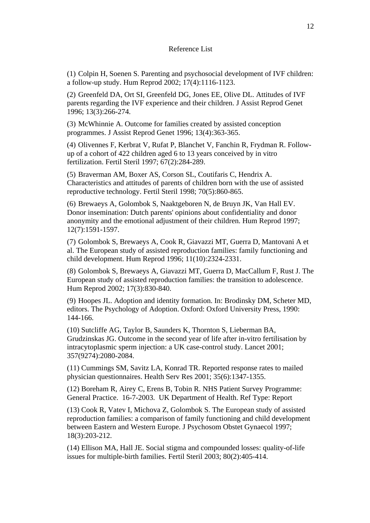#### Reference List

(1) Colpin H, Soenen S. Parenting and psychosocial development of IVF children: a follow-up study. Hum Reprod 2002; 17(4):1116-1123.

(2) Greenfeld DA, Ort SI, Greenfeld DG, Jones EE, Olive DL. Attitudes of IVF parents regarding the IVF experience and their children. J Assist Reprod Genet 1996; 13(3):266-274.

(3) McWhinnie A. Outcome for families created by assisted conception programmes. J Assist Reprod Genet 1996; 13(4):363-365.

(4) Olivennes F, Kerbrat V, Rufat P, Blanchet V, Fanchin R, Frydman R. Followup of a cohort of 422 children aged 6 to 13 years conceived by in vitro fertilization. Fertil Steril 1997; 67(2):284-289.

(5) Braverman AM, Boxer AS, Corson SL, Coutifaris C, Hendrix A. Characteristics and attitudes of parents of children born with the use of assisted reproductive technology. Fertil Steril 1998; 70(5):860-865.

(6) Brewaeys A, Golombok S, Naaktgeboren N, de Bruyn JK, Van Hall EV. Donor insemination: Dutch parents' opinions about confidentiality and donor anonymity and the emotional adjustment of their children. Hum Reprod 1997; 12(7):1591-1597.

(7) Golombok S, Brewaeys A, Cook R, Giavazzi MT, Guerra D, Mantovani A et al. The European study of assisted reproduction families: family functioning and child development. Hum Reprod 1996; 11(10):2324-2331.

(8) Golombok S, Brewaeys A, Giavazzi MT, Guerra D, MacCallum F, Rust J. The European study of assisted reproduction families: the transition to adolescence. Hum Reprod 2002; 17(3):830-840.

(9) Hoopes JL. Adoption and identity formation. In: Brodinsky DM, Scheter MD, editors. The Psychology of Adoption. Oxford: Oxford University Press, 1990: 144-166.

(10) Sutcliffe AG, Taylor B, Saunders K, Thornton S, Lieberman BA, Grudzinskas JG. Outcome in the second year of life after in-vitro fertilisation by intracytoplasmic sperm injection: a UK case-control study. Lancet 2001; 357(9274):2080-2084.

(11) Cummings SM, Savitz LA, Konrad TR. Reported response rates to mailed physician questionnaires. Health Serv Res 2001; 35(6):1347-1355.

(12) Boreham R, Airey C, Erens B, Tobin R. NHS Patient Survey Programme: General Practice. 16-7-2003. UK Department of Health. Ref Type: Report

(13) Cook R, Vatev I, Michova Z, Golombok S. The European study of assisted reproduction families: a comparison of family functioning and child development between Eastern and Western Europe. J Psychosom Obstet Gynaecol 1997; 18(3):203-212.

(14) Ellison MA, Hall JE. Social stigma and compounded losses: quality-of-life issues for multiple-birth families. Fertil Steril 2003; 80(2):405-414.